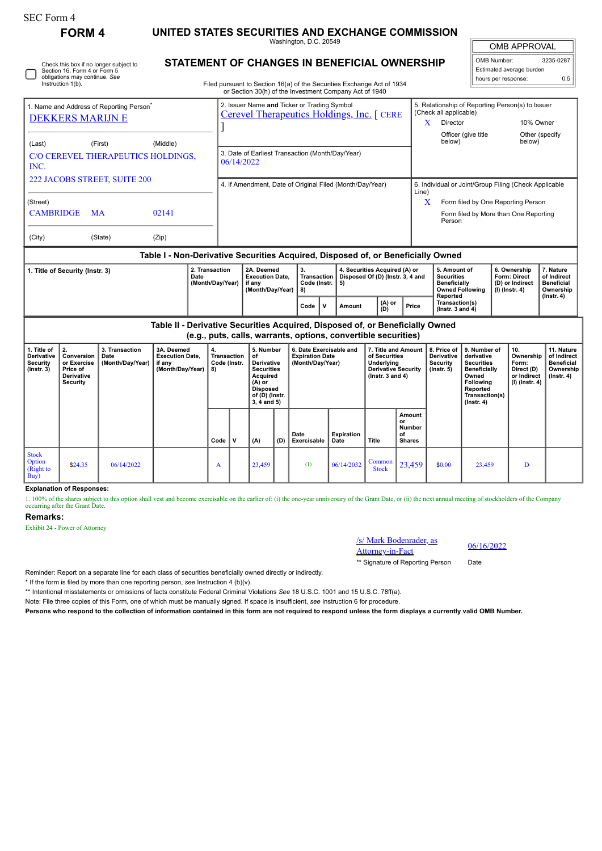∩

# **FORM 4 UNITED STATES SECURITIES AND EXCHANGE COMMISSION**

Washington, D.C. 20549

**STATEMENT OF CHANGES IN BENEFICIAL OWNERSHIP**

| ΆI<br>IB APF<br>ι. |
|--------------------|
|                    |

OMB Number: 3235-0287 Estimated average burden hours per response: 0.5

| Check this box if no longer subject to<br>Section 16. Form 4 or Form 5<br>obligations may continue. See<br>Instruction 1(b).                                   | STATEMENT OF CHANGES IN BENEFICIAL OWNERSHIP<br>Filed pursuant to Section 16(a) of the Securities Exchange Act of 1934<br>or Section 30(h) of the Investment Company Act of 1940 |                                                                          | Estimated average burden<br>hours per response:                                                                                      | 0.5                                    |  |
|----------------------------------------------------------------------------------------------------------------------------------------------------------------|----------------------------------------------------------------------------------------------------------------------------------------------------------------------------------|--------------------------------------------------------------------------|--------------------------------------------------------------------------------------------------------------------------------------|----------------------------------------|--|
| 1. Name and Address of Reporting Person <sup>®</sup><br><b>DEKKERS MARIJN E</b><br>(Middle)<br>(Last)<br>(First)<br>C/O CEREVEL THERAPEUTICS HOLDINGS.<br>INC. | 2. Issuer Name and Ticker or Trading Symbol<br>Cerevel Therapeutics Holdings, Inc. [ CERE<br>3. Date of Earliest Transaction (Month/Day/Year)<br>06/14/2022                      | (Check all applicable)<br>X<br>Director<br>Officer (give title<br>below) | 5. Relationship of Reporting Person(s) to Issuer                                                                                     | 10% Owner<br>Other (specify)<br>below) |  |
| 222 JACOBS STREET, SUITE 200<br>(Street)<br><b>CAMBRIDGE</b><br>02141<br><b>MA</b><br>(City)<br>(State)<br>(Zip)                                               | 4. If Amendment, Date of Original Filed (Month/Day/Year)                                                                                                                         | Line)<br>X<br>Person                                                     | 6. Individual or Joint/Group Filing (Check Applicable<br>Form filed by One Reporting Person<br>Form filed by More than One Reporting |                                        |  |

### **Table I - Non-Derivative Securities Acquired, Disposed of, or Beneficially Owned**

| 1. Title of Security (Instr. 3) | 2. Transaction<br>Date<br>(Month/Dav/Year) | 2A. Deemed<br><b>Execution Date.</b><br>if anv<br>(Month/Dav/Year) | Code (Instr.   5)<br>I 8) |  | 4. Securities Acquired (A) or<br>Transaction   Disposed Of (D) (Instr. 3, 4 and |                 |       | 5. Amount of<br><b>Securities</b><br><b>Beneficially</b><br><b>Owned Following</b> | 6. Ownership<br><b>Form: Direct</b><br>(D) or Indirect<br>(I) (Instr. 4) | . Nature<br>of Indirect<br><b>Beneficial</b><br>Ownership |
|---------------------------------|--------------------------------------------|--------------------------------------------------------------------|---------------------------|--|---------------------------------------------------------------------------------|-----------------|-------|------------------------------------------------------------------------------------|--------------------------------------------------------------------------|-----------------------------------------------------------|
|                                 |                                            |                                                                    | Code                      |  | Amount                                                                          | $(A)$ or<br>(D) | Price | Reported<br>Transaction(s)<br>$($ lnstr. 3 and 4 $)$                               |                                                                          | $($ lnstr $, 4)$                                          |

**Table II - Derivative Securities Acquired, Disposed of, or Beneficially Owned (e.g., puts, calls, warrants, options, convertible securities)**

| 1. Title of<br><b>Derivative</b><br>Security<br>$($ Instr. 3 $)$ | 2.<br>Conversion<br>or Exercise<br>Price of<br><b>Derivative</b><br>Security | 3. Transaction<br>Date<br>(Month/Day/Year) | 3A. Deemed<br><b>Execution Date,</b><br>if any<br>(Month/Day/Year) | 4.<br>Transaction<br>Code (Instr.<br>8) |              | 5. Number<br>оf<br><b>Derivative</b><br><b>Securities</b><br>Acquired<br>(A) or<br><b>Disposed</b><br>of (D) (Instr.<br>$3, 4$ and $5)$ |     | 6. Date Exercisable and<br><b>Expiration Date</b><br>(Month/Day/Year) |                           | 7. Title and Amount<br>of Securities<br>Underlying<br><b>Derivative Security</b><br>$($ lnstr. 3 and 4 $)$ |                                               | 8. Price of<br><b>Derivative</b><br>Security<br>$($ lnstr. 5 $)$ | 9. Number of<br>derivative<br><b>Securities</b><br>Beneficially<br>Owned<br>Following<br>Reported<br>Transaction(s)<br>$($ lnstr. 4 $)$ | 10.<br>Ownership<br>Form:<br>Direct (D)<br>or Indirect<br>$(l)$ (lnstr. 4) | 11. Nature<br>of Indirect<br><b>Beneficial</b><br>Ownership<br>$($ Instr. 4 $)$ |
|------------------------------------------------------------------|------------------------------------------------------------------------------|--------------------------------------------|--------------------------------------------------------------------|-----------------------------------------|--------------|-----------------------------------------------------------------------------------------------------------------------------------------|-----|-----------------------------------------------------------------------|---------------------------|------------------------------------------------------------------------------------------------------------|-----------------------------------------------|------------------------------------------------------------------|-----------------------------------------------------------------------------------------------------------------------------------------|----------------------------------------------------------------------------|---------------------------------------------------------------------------------|
|                                                                  |                                                                              |                                            |                                                                    | Code                                    | $\mathbf{v}$ | (A)                                                                                                                                     | (D) | Date<br>Exercisable                                                   | <b>Expiration</b><br>Date | Title                                                                                                      | Amount<br>or<br>Number<br>of<br><b>Shares</b> |                                                                  |                                                                                                                                         |                                                                            |                                                                                 |
| <b>Stock</b><br>Option<br>(Right to<br>Buy)                      | \$24.35                                                                      | 06/14/2022                                 |                                                                    | A                                       |              | 23,459                                                                                                                                  |     | (1)                                                                   | 06/14/2032                | Common<br><b>Stock</b>                                                                                     | 23,459                                        | \$0.00                                                           | 23,459                                                                                                                                  | D                                                                          |                                                                                 |

## **Explanation of Responses:**

1. 100% of the shares subject to this option shall vest and become exercisable on the earlier of: (i) the one-year anniversary of the Grant Date, or (ii) the next annual meeting of stockholders of the Company occurring after the Grant Date.

### **Remarks:**

Exhibit 24 - Power of Attorney



\*\* Signature of Reporting Person Date

Reminder: Report on a separate line for each class of securities beneficially owned directly or indirectly.

\* If the form is filed by more than one reporting person, *see* Instruction 4 (b)(v).

\*\* Intentional misstatements or omissions of facts constitute Federal Criminal Violations *See* 18 U.S.C. 1001 and 15 U.S.C. 78ff(a).

Note: File three copies of this Form, one of which must be manually signed. If space is insufficient, *see* Instruction 6 for procedure.

**Persons who respond to the collection of information contained in this form are not required to respond unless the form displays a currently valid OMB Number.**